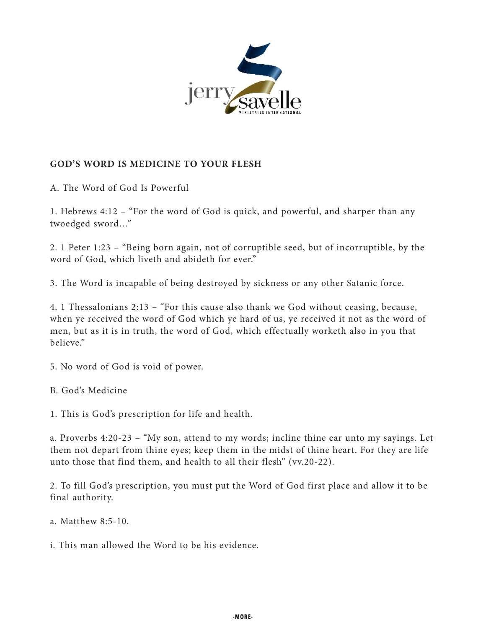

## **GOD'S WORD IS MEDICINE TO YOUR FLESH**

A. The Word of God Is Powerful

1. Hebrews 4:12 – "For the word of God is quick, and powerful, and sharper than any twoedged sword…"

2. 1 Peter 1:23 – "Being born again, not of corruptible seed, but of incorruptible, by the word of God, which liveth and abideth for ever."

3. The Word is incapable of being destroyed by sickness or any other Satanic force.

4. 1 Thessalonians 2:13 – "For this cause also thank we God without ceasing, because, when ye received the word of God which ye hard of us, ye received it not as the word of men, but as it is in truth, the word of God, which effectually worketh also in you that believe."

5. No word of God is void of power.

B. God's Medicine

1. This is God's prescription for life and health.

a. Proverbs 4:20-23 – "My son, attend to my words; incline thine ear unto my sayings. Let them not depart from thine eyes; keep them in the midst of thine heart. For they are life unto those that find them, and health to all their flesh" (vv.20-22).

2. To fill God's prescription, you must put the Word of God first place and allow it to be final authority.

a. Matthew 8:5-10.

i. This man allowed the Word to be his evidence.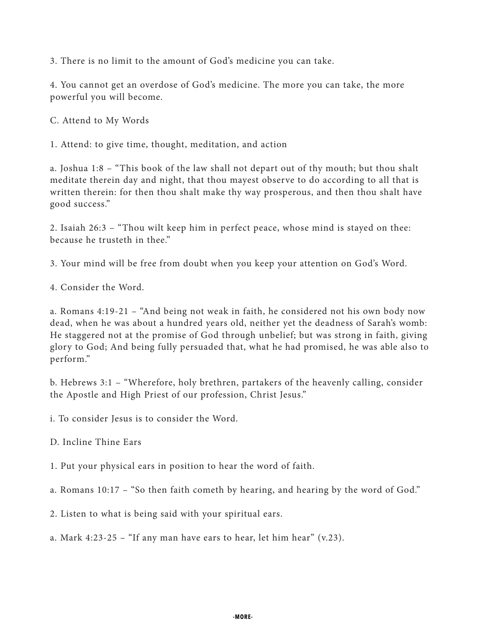3. There is no limit to the amount of God's medicine you can take.

4. You cannot get an overdose of God's medicine. The more you can take, the more powerful you will become.

C. Attend to My Words

1. Attend: to give time, thought, meditation, and action

a. Joshua 1:8 – "This book of the law shall not depart out of thy mouth; but thou shalt meditate therein day and night, that thou mayest observe to do according to all that is written therein: for then thou shalt make thy way prosperous, and then thou shalt have good success."

2. Isaiah 26:3 – "Thou wilt keep him in perfect peace, whose mind is stayed on thee: because he trusteth in thee."

3. Your mind will be free from doubt when you keep your attention on God's Word.

4. Consider the Word.

a. Romans 4:19-21 – "And being not weak in faith, he considered not his own body now dead, when he was about a hundred years old, neither yet the deadness of Sarah's womb: He staggered not at the promise of God through unbelief; but was strong in faith, giving glory to God; And being fully persuaded that, what he had promised, he was able also to perform."

b. Hebrews 3:1 – "Wherefore, holy brethren, partakers of the heavenly calling, consider the Apostle and High Priest of our profession, Christ Jesus."

i. To consider Jesus is to consider the Word.

D. Incline Thine Ears

1. Put your physical ears in position to hear the word of faith.

a. Romans 10:17 – "So then faith cometh by hearing, and hearing by the word of God."

2. Listen to what is being said with your spiritual ears.

a. Mark 4:23-25 – "If any man have ears to hear, let him hear"  $(v.23)$ .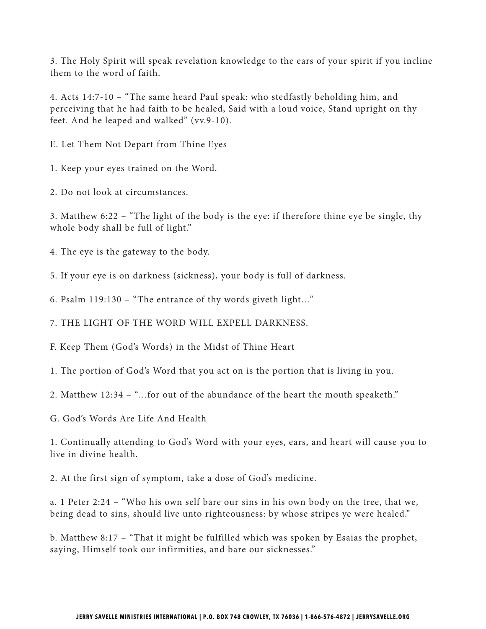3. The Holy Spirit will speak revelation knowledge to the ears of your spirit if you incline them to the word of faith.

4. Acts 14:7-10 – "The same heard Paul speak: who stedfastly beholding him, and perceiving that he had faith to be healed, Said with a loud voice, Stand upright on thy feet. And he leaped and walked" (vv.9-10).

E. Let Them Not Depart from Thine Eyes

1. Keep your eyes trained on the Word.

2. Do not look at circumstances.

3. Matthew 6:22 – "The light of the body is the eye: if therefore thine eye be single, thy whole body shall be full of light."

4. The eye is the gateway to the body.

5. If your eye is on darkness (sickness), your body is full of darkness.

6. Psalm 119:130 – "The entrance of thy words giveth light…"

7. THE LIGHT OF THE WORD WILL EXPELL DARKNESS.

F. Keep Them (God's Words) in the Midst of Thine Heart

1. The portion of God's Word that you act on is the portion that is living in you.

2. Matthew 12:34 – "…for out of the abundance of the heart the mouth speaketh."

G. God's Words Are Life And Health

1. Continually attending to God's Word with your eyes, ears, and heart will cause you to live in divine health.

2. At the first sign of symptom, take a dose of God's medicine.

a. 1 Peter 2:24 – "Who his own self bare our sins in his own body on the tree, that we, being dead to sins, should live unto righteousness: by whose stripes ye were healed."

b. Matthew 8:17 – "That it might be fulfilled which was spoken by Esaias the prophet, saying, Himself took our infirmities, and bare our sicknesses."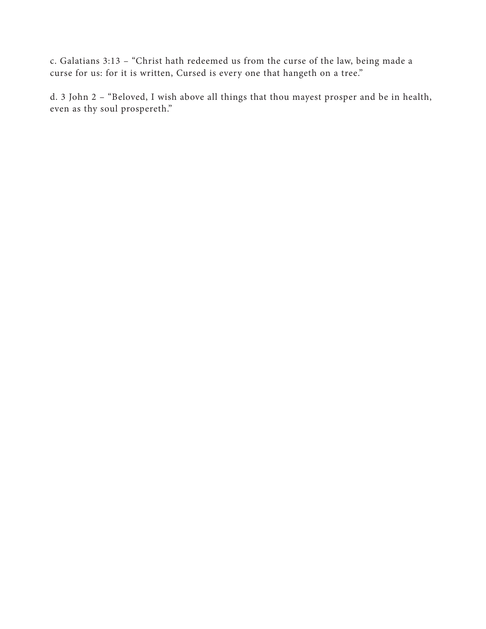c. Galatians 3:13 – "Christ hath redeemed us from the curse of the law, being made a curse for us: for it is written, Cursed is every one that hangeth on a tree."

d. 3 John 2 – "Beloved, I wish above all things that thou mayest prosper and be in health, even as thy soul prospereth."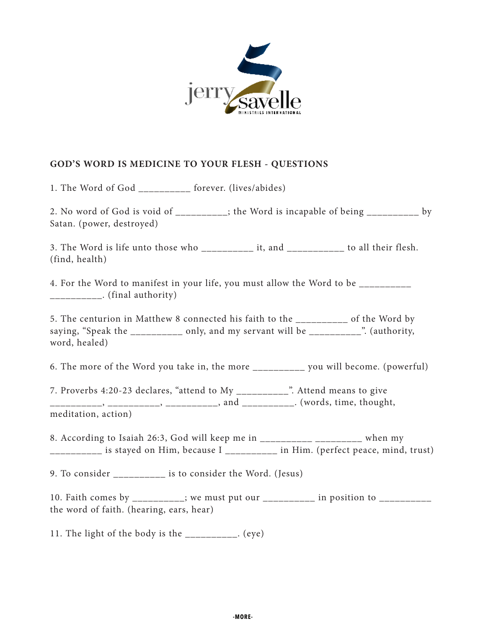

## **GOD'S WORD IS MEDICINE TO YOUR FLESH - QUESTIONS**

1. The Word of God \_\_\_\_\_\_\_\_\_\_ forever. (lives/abides)

2. No word of God is void of \_\_\_\_\_\_\_\_\_\_; the Word is incapable of being \_\_\_\_\_\_\_\_\_\_ by Satan. (power, destroyed)

3. The Word is life unto those who \_\_\_\_\_\_\_\_\_\_ it, and \_\_\_\_\_\_\_\_\_\_\_ to all their flesh. (find, health)

4. For the Word to manifest in your life, you must allow the Word to be \_\_\_\_\_\_\_\_\_  $\frac{1}{2}$ . (final authority)

5. The centurion in Matthew 8 connected his faith to the \_\_\_\_\_\_\_\_\_\_ of the Word by saying, "Speak the \_\_\_\_\_\_\_\_\_\_ only, and my servant will be \_\_\_\_\_\_\_\_\_\_". (authority, word, healed)

6. The more of the Word you take in, the more \_\_\_\_\_\_\_\_\_\_ you will become. (powerful)

7. Proverbs 4:20-23 declares, "attend to My \_\_\_\_\_\_\_\_\_\_". Attend means to give \_\_\_\_\_\_\_\_\_\_, \_\_\_\_\_\_\_\_\_, \_\_\_\_\_\_\_\_\_, and \_\_\_\_\_\_\_\_\_\_. (words, time, thought, meditation, action)

8. According to Isaiah 26:3, God will keep me in  $\frac{1}{2}$  \_\_\_\_\_\_\_\_\_\_\_\_\_\_\_\_\_\_\_\_\_\_ when my \_\_\_\_\_\_\_\_\_\_ is stayed on Him, because I \_\_\_\_\_\_\_\_\_\_ in Him. (perfect peace, mind, trust)

9. To consider \_\_\_\_\_\_\_\_\_\_ is to consider the Word. (Jesus)

10. Faith comes by \_\_\_\_\_\_\_\_\_; we must put our \_\_\_\_\_\_\_\_\_\_ in position to \_\_\_\_\_\_\_\_\_ the word of faith. (hearing, ears, hear)

11. The light of the body is the \_\_\_\_\_\_\_\_\_\_. (eye)